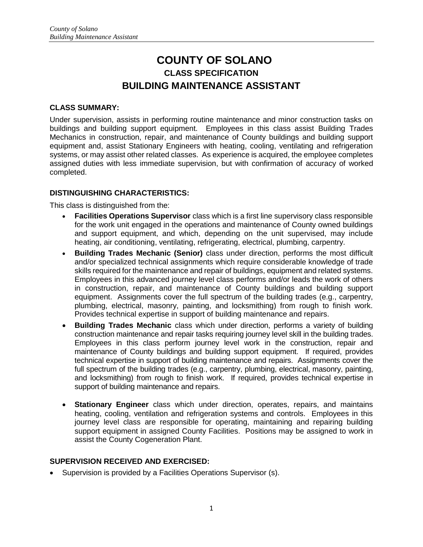# **COUNTY OF SOLANO CLASS SPECIFICATION BUILDING MAINTENANCE ASSISTANT**

#### **CLASS SUMMARY:**

Under supervision, assists in performing routine maintenance and minor construction tasks on buildings and building support equipment. Employees in this class assist Building Trades Mechanics in construction, repair, and maintenance of County buildings and building support equipment and, assist Stationary Engineers with heating, cooling, ventilating and refrigeration systems, or may assist other related classes. As experience is acquired, the employee completes assigned duties with less immediate supervision, but with confirmation of accuracy of worked completed.

### **DISTINGUISHING CHARACTERISTICS:**

This class is distinguished from the:

- **Facilities Operations Supervisor** class which is a first line supervisory class responsible for the work unit engaged in the operations and maintenance of County owned buildings and support equipment, and which, depending on the unit supervised, may include heating, air conditioning, ventilating, refrigerating, electrical, plumbing, carpentry.
- **Building Trades Mechanic (Senior)** class under direction, performs the most difficult and/or specialized technical assignments which require considerable knowledge of trade skills required for the maintenance and repair of buildings, equipment and related systems. Employees in this advanced journey level class performs and/or leads the work of others in construction, repair, and maintenance of County buildings and building support equipment. Assignments cover the full spectrum of the building trades (e.g., carpentry, plumbing, electrical, masonry, painting, and locksmithing) from rough to finish work. Provides technical expertise in support of building maintenance and repairs.
- **Building Trades Mechanic** class which under direction, performs a variety of building construction maintenance and repair tasks requiring journey level skill in the building trades. Employees in this class perform journey level work in the construction, repair and maintenance of County buildings and building support equipment. If required, provides technical expertise in support of building maintenance and repairs. Assignments cover the full spectrum of the building trades (e.g., carpentry, plumbing, electrical, masonry, painting, and locksmithing) from rough to finish work. If required, provides technical expertise in support of building maintenance and repairs.
- **Stationary Engineer** class which under direction, operates, repairs, and maintains heating, cooling, ventilation and refrigeration systems and controls. Employees in this journey level class are responsible for operating, maintaining and repairing building support equipment in assigned County Facilities. Positions may be assigned to work in assist the County Cogeneration Plant.

#### **SUPERVISION RECEIVED AND EXERCISED:**

• Supervision is provided by a Facilities Operations Supervisor (s).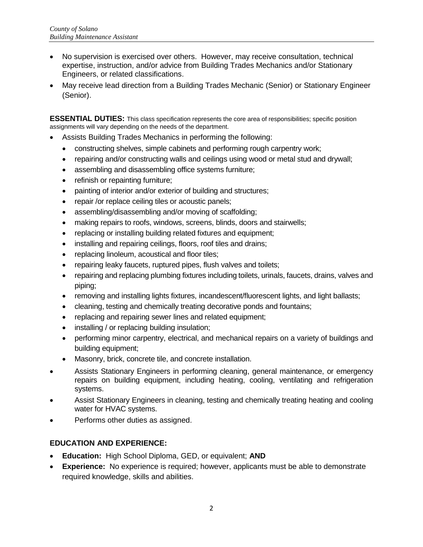- No supervision is exercised over others. However, may receive consultation, technical expertise, instruction, and/or advice from Building Trades Mechanics and/or Stationary Engineers, or related classifications.
- May receive lead direction from a Building Trades Mechanic (Senior) or Stationary Engineer (Senior).

**ESSENTIAL DUTIES:** This class specification represents the core area of responsibilities; specific position assignments will vary depending on the needs of the department.

- Assists Building Trades Mechanics in performing the following:
	- constructing shelves, simple cabinets and performing rough carpentry work;
	- repairing and/or constructing walls and ceilings using wood or metal stud and drywall;
	- assembling and disassembling office systems furniture;
	- refinish or repainting furniture;
	- painting of interior and/or exterior of building and structures;
	- repair /or replace ceiling tiles or acoustic panels;
	- assembling/disassembling and/or moving of scaffolding;
	- making repairs to roofs, windows, screens, blinds, doors and stairwells;
	- replacing or installing building related fixtures and equipment;
	- installing and repairing ceilings, floors, roof tiles and drains;
	- replacing linoleum, acoustical and floor tiles;
	- repairing leaky faucets, ruptured pipes, flush valves and toilets;
	- repairing and replacing plumbing fixtures including toilets, urinals, faucets, drains, valves and piping;
	- removing and installing lights fixtures, incandescent/fluorescent lights, and light ballasts;
	- cleaning, testing and chemically treating decorative ponds and fountains;
	- replacing and repairing sewer lines and related equipment;
	- installing / or replacing building insulation;
	- performing minor carpentry, electrical, and mechanical repairs on a variety of buildings and building equipment;
	- Masonry, brick, concrete tile, and concrete installation.
- Assists Stationary Engineers in performing cleaning, general maintenance, or emergency repairs on building equipment, including heating, cooling, ventilating and refrigeration systems.
- Assist Stationary Engineers in cleaning, testing and chemically treating heating and cooling water for HVAC systems.
- Performs other duties as assigned.

#### **EDUCATION AND EXPERIENCE:**

- **Education:** High School Diploma, GED, or equivalent; **AND**
- **Experience:** No experience is required; however, applicants must be able to demonstrate required knowledge, skills and abilities.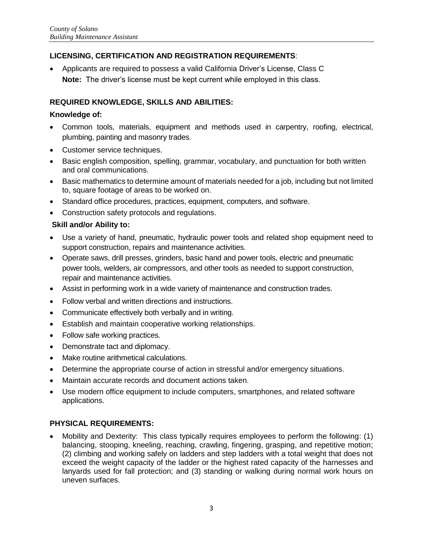# **LICENSING, CERTIFICATION AND REGISTRATION REQUIREMENTS**:

 Applicants are required to possess a valid California Driver's License, Class C **Note:** The driver's license must be kept current while employed in this class.

# **REQUIRED KNOWLEDGE, SKILLS AND ABILITIES:**

### **Knowledge of:**

- Common tools, materials, equipment and methods used in carpentry, roofing, electrical, plumbing, painting and masonry trades.
- Customer service techniques.
- Basic english composition, spelling, grammar, vocabulary, and punctuation for both written and oral communications.
- Basic mathematics to determine amount of materials needed for a job, including but not limited to, square footage of areas to be worked on.
- Standard office procedures, practices, equipment, computers, and software.
- Construction safety protocols and regulations.

### **Skill and/or Ability to:**

- Use a variety of hand, pneumatic, hydraulic power tools and related shop equipment need to support construction, repairs and maintenance activities.
- Operate saws, drill presses, grinders, basic hand and power tools, electric and pneumatic power tools, welders, air compressors, and other tools as needed to support construction, repair and maintenance activities.
- Assist in performing work in a wide variety of maintenance and construction trades.
- Follow verbal and written directions and instructions.
- Communicate effectively both verbally and in writing.
- Establish and maintain cooperative working relationships.
- Follow safe working practices.
- Demonstrate tact and diplomacy.
- Make routine arithmetical calculations.
- Determine the appropriate course of action in stressful and/or emergency situations.
- Maintain accurate records and document actions taken.
- Use modern office equipment to include computers, smartphones, and related software applications.

# **PHYSICAL REQUIREMENTS:**

 Mobility and Dexterity: This class typically requires employees to perform the following: (1) balancing, stooping, kneeling, reaching, crawling, fingering, grasping, and repetitive motion; (2) climbing and working safely on ladders and step ladders with a total weight that does not exceed the weight capacity of the ladder or the highest rated capacity of the harnesses and lanyards used for fall protection; and (3) standing or walking during normal work hours on uneven surfaces.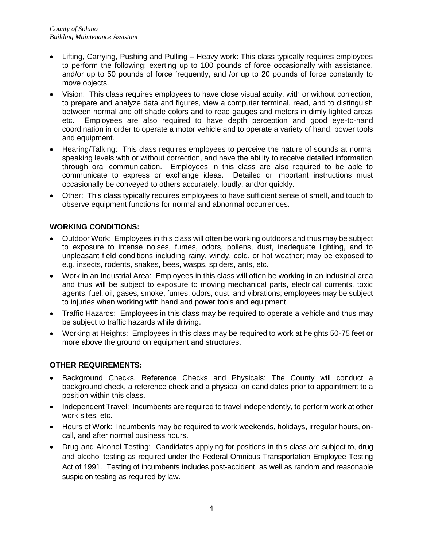- Lifting, Carrying, Pushing and Pulling Heavy work: This class typically requires employees to perform the following: exerting up to 100 pounds of force occasionally with assistance, and/or up to 50 pounds of force frequently, and /or up to 20 pounds of force constantly to move objects.
- Vision: This class requires employees to have close visual acuity, with or without correction, to prepare and analyze data and figures, view a computer terminal, read, and to distinguish between normal and off shade colors and to read gauges and meters in dimly lighted areas etc. Employees are also required to have depth perception and good eye-to-hand coordination in order to operate a motor vehicle and to operate a variety of hand, power tools and equipment.
- Hearing/Talking: This class requires employees to perceive the nature of sounds at normal speaking levels with or without correction, and have the ability to receive detailed information through oral communication. Employees in this class are also required to be able to communicate to express or exchange ideas. Detailed or important instructions must occasionally be conveyed to others accurately, loudly, and/or quickly.
- Other: This class typically requires employees to have sufficient sense of smell, and touch to observe equipment functions for normal and abnormal occurrences.

### **WORKING CONDITIONS:**

- Outdoor Work: Employees in this class will often be working outdoors and thus may be subject to exposure to intense noises, fumes, odors, pollens, dust, inadequate lighting, and to unpleasant field conditions including rainy, windy, cold, or hot weather; may be exposed to e.g. insects, rodents, snakes, bees, wasps, spiders, ants, etc.
- Work in an Industrial Area: Employees in this class will often be working in an industrial area and thus will be subject to exposure to moving mechanical parts, electrical currents, toxic agents, fuel, oil, gases, smoke, fumes, odors, dust, and vibrations; employees may be subject to injuries when working with hand and power tools and equipment.
- Traffic Hazards: Employees in this class may be required to operate a vehicle and thus may be subject to traffic hazards while driving.
- Working at Heights: Employees in this class may be required to work at heights 50-75 feet or more above the ground on equipment and structures.

# **OTHER REQUIREMENTS:**

- Background Checks, Reference Checks and Physicals: The County will conduct a background check, a reference check and a physical on candidates prior to appointment to a position within this class.
- Independent Travel: Incumbents are required to travel independently, to perform work at other work sites, etc.
- Hours of Work: Incumbents may be required to work weekends, holidays, irregular hours, oncall, and after normal business hours.
- Drug and Alcohol Testing: Candidates applying for positions in this class are subject to, drug and alcohol testing as required under the Federal Omnibus Transportation Employee Testing Act of 1991. Testing of incumbents includes post-accident, as well as random and reasonable suspicion testing as required by law.